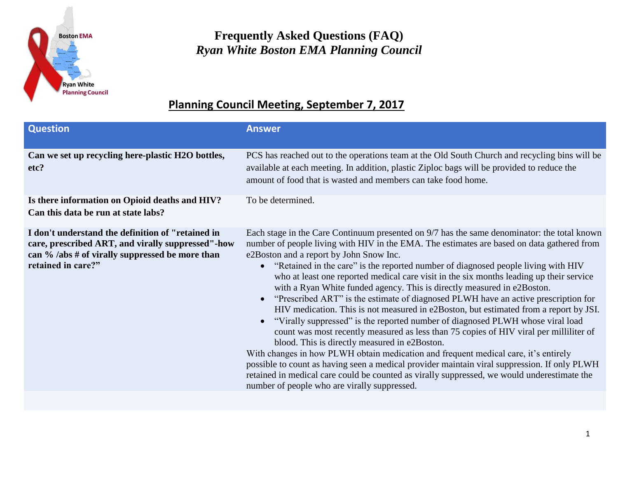

## **Frequently Asked Questions (FAQ)** *Ryan White Boston EMA Planning Council*

## **Planning Council Meeting, September 7, 2017**

| <b>Question</b>                                                                                                                                                                 | <b>Answer</b>                                                                                                                                                                                                                                                                                                                                                                                                                                                                                                                                                                                                                                                                                                                                                                                                                                                                                                                                                                                                                                                                                                                                                                                                                                                               |  |  |
|---------------------------------------------------------------------------------------------------------------------------------------------------------------------------------|-----------------------------------------------------------------------------------------------------------------------------------------------------------------------------------------------------------------------------------------------------------------------------------------------------------------------------------------------------------------------------------------------------------------------------------------------------------------------------------------------------------------------------------------------------------------------------------------------------------------------------------------------------------------------------------------------------------------------------------------------------------------------------------------------------------------------------------------------------------------------------------------------------------------------------------------------------------------------------------------------------------------------------------------------------------------------------------------------------------------------------------------------------------------------------------------------------------------------------------------------------------------------------|--|--|
| Can we set up recycling here-plastic H2O bottles,<br>etc?                                                                                                                       | PCS has reached out to the operations team at the Old South Church and recycling bins will be<br>available at each meeting. In addition, plastic Ziploc bags will be provided to reduce the<br>amount of food that is wasted and members can take food home.                                                                                                                                                                                                                                                                                                                                                                                                                                                                                                                                                                                                                                                                                                                                                                                                                                                                                                                                                                                                                |  |  |
| Is there information on Opioid deaths and HIV?<br>Can this data be run at state labs?                                                                                           | To be determined.                                                                                                                                                                                                                                                                                                                                                                                                                                                                                                                                                                                                                                                                                                                                                                                                                                                                                                                                                                                                                                                                                                                                                                                                                                                           |  |  |
| I don't understand the definition of "retained in<br>care, prescribed ART, and virally suppressed"-how<br>can % /abs # of virally suppressed be more than<br>retained in care?" | Each stage in the Care Continuum presented on 9/7 has the same denominator: the total known<br>number of people living with HIV in the EMA. The estimates are based on data gathered from<br>e2Boston and a report by John Snow Inc.<br>"Retained in the care" is the reported number of diagnosed people living with HIV<br>who at least one reported medical care visit in the six months leading up their service<br>with a Ryan White funded agency. This is directly measured in e2Boston.<br>"Prescribed ART" is the estimate of diagnosed PLWH have an active prescription for<br>$\bullet$<br>HIV medication. This is not measured in e2Boston, but estimated from a report by JSI.<br>"Virally suppressed" is the reported number of diagnosed PLWH whose viral load<br>$\bullet$<br>count was most recently measured as less than 75 copies of HIV viral per milliliter of<br>blood. This is directly measured in e2Boston.<br>With changes in how PLWH obtain medication and frequent medical care, it's entirely<br>possible to count as having seen a medical provider maintain viral suppression. If only PLWH<br>retained in medical care could be counted as virally suppressed, we would underestimate the<br>number of people who are virally suppressed. |  |  |
|                                                                                                                                                                                 |                                                                                                                                                                                                                                                                                                                                                                                                                                                                                                                                                                                                                                                                                                                                                                                                                                                                                                                                                                                                                                                                                                                                                                                                                                                                             |  |  |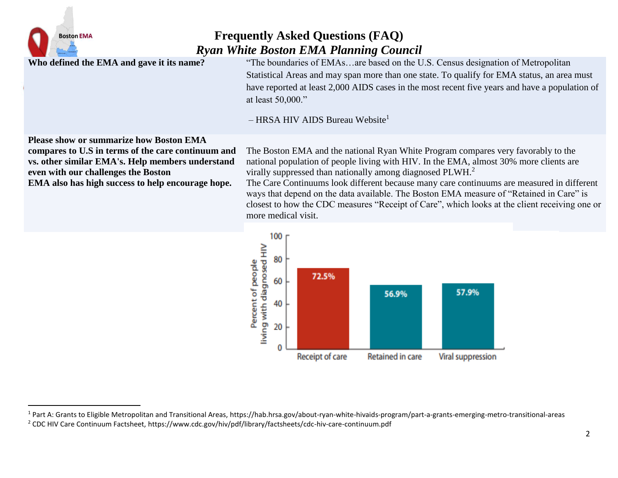

 $\overline{a}$ 

## **Frequently Asked Questions (FAQ)** *Ryan White Boston EMA Planning Council*

**Who defined the EMA and gave it its name?** "The boundaries of EMAs…are based on the U.S. Census designation of Metropolitan Statistical Areas and may span more than one state. To qualify for EMA status, an area must have reported at least 2,000 AIDS cases in the most recent five years and have a population of at least 50,000."

 $-$  HRSA HIV AIDS Bureau Website<sup>1</sup>

**Please show or summarize how Boston EMA** 

**compares to U.S in terms of the care continuum and vs. other similar EMA's. Help members understand even with our challenges the Boston EMA also has high success to help encourage hope.**

The Boston EMA and the national Ryan White Program compares very favorably to the national population of people living with HIV. In the EMA, almost 30% more clients are virally suppressed than nationally among diagnosed PLWH.<sup>2</sup>

The Care Continuums look different because many care continuums are measured in different ways that depend on the data available. The Boston EMA measure of "Retained in Care" is closest to how the CDC measures "Receipt of Care", which looks at the client receiving one or more medical visit.



<sup>&</sup>lt;sup>1</sup> Part A: Grants to Eligible Metropolitan and Transitional Areas, https://hab.hrsa.gov/about-ryan-white-hivaids-program/part-a-grants-emerging-metro-transitional-areas

<sup>2</sup> CDC HIV Care Continuum Factsheet, https://www.cdc.gov/hiv/pdf/library/factsheets/cdc-hiv-care-continuum.pdf